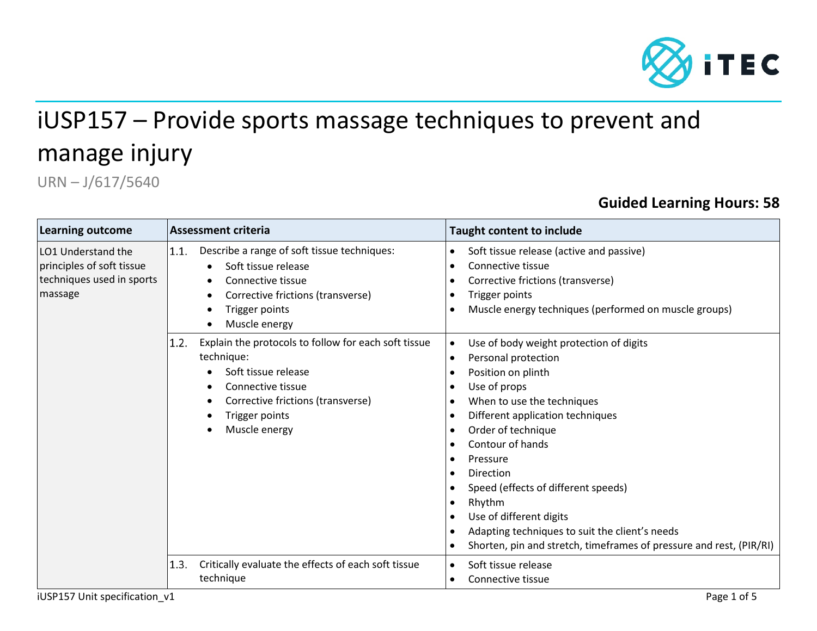

## iUSP157 – Provide sports massage techniques to prevent and manage injury

URN – J/617/5640

## **Guided Learning Hours: 58**

| Learning outcome                                                                        | <b>Assessment criteria</b>                                                                                                                                                                                                        | <b>Taught content to include</b>                                                                                                                                                                                                                                                                                                                                                                                                               |
|-----------------------------------------------------------------------------------------|-----------------------------------------------------------------------------------------------------------------------------------------------------------------------------------------------------------------------------------|------------------------------------------------------------------------------------------------------------------------------------------------------------------------------------------------------------------------------------------------------------------------------------------------------------------------------------------------------------------------------------------------------------------------------------------------|
| LO1 Understand the<br>principles of soft tissue<br>techniques used in sports<br>massage | Describe a range of soft tissue techniques:<br> 1.1.<br>Soft tissue release<br>$\bullet$<br>Connective tissue<br>$\bullet$<br>Corrective frictions (transverse)<br>$\bullet$<br>Trigger points<br>٠<br>Muscle energy<br>$\bullet$ | Soft tissue release (active and passive)<br>Connective tissue<br>Corrective frictions (transverse)<br>Trigger points<br>Muscle energy techniques (performed on muscle groups)                                                                                                                                                                                                                                                                  |
|                                                                                         | Explain the protocols to follow for each soft tissue<br> 1.2.<br>technique:<br>Soft tissue release<br>Connective tissue<br>Corrective frictions (transverse)<br>Trigger points<br>Muscle energy<br>$\bullet$                      | Use of body weight protection of digits<br>Personal protection<br>Position on plinth<br>Use of props<br>When to use the techniques<br>Different application techniques<br>Order of technique<br>Contour of hands<br>Pressure<br>Direction<br>Speed (effects of different speeds)<br>Rhythm<br>Use of different digits<br>Adapting techniques to suit the client's needs<br>Shorten, pin and stretch, timeframes of pressure and rest, (PIR/RI) |
|                                                                                         | Critically evaluate the effects of each soft tissue<br>1.3.<br>technique                                                                                                                                                          | Soft tissue release<br>$\bullet$<br>Connective tissue                                                                                                                                                                                                                                                                                                                                                                                          |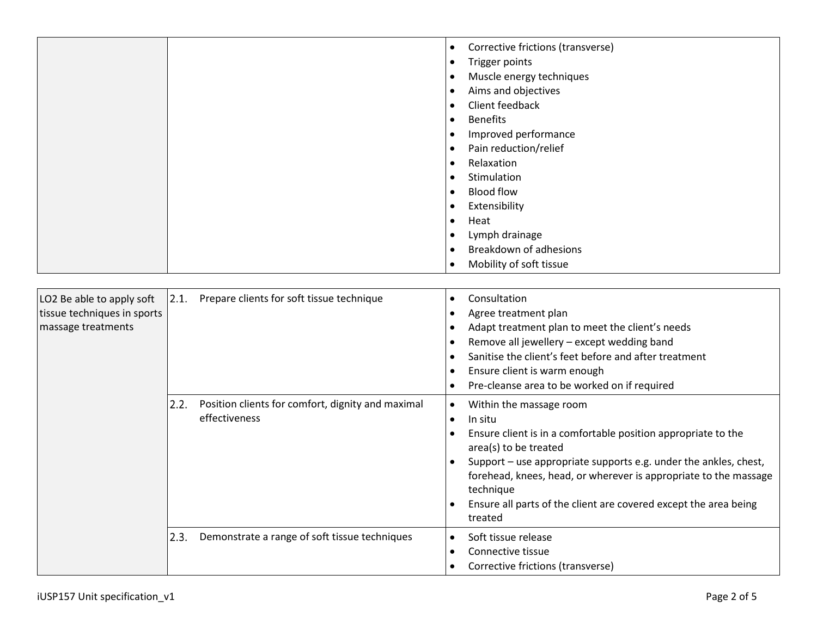|  | Corrective frictions (transverse)<br>$\bullet$ |
|--|------------------------------------------------|
|  | Trigger points<br>$\bullet$                    |
|  | Muscle energy techniques<br>$\bullet$          |
|  | Aims and objectives<br>$\bullet$               |
|  | Client feedback<br>$\bullet$                   |
|  | <b>Benefits</b><br>$\bullet$                   |
|  | Improved performance<br>$\bullet$              |
|  | Pain reduction/relief<br>$\bullet$             |
|  | Relaxation<br>$\bullet$                        |
|  | Stimulation                                    |
|  | <b>Blood flow</b><br>$\bullet$                 |
|  | Extensibility<br>$\bullet$                     |
|  | Heat<br>$\bullet$                              |
|  | Lymph drainage<br>$\bullet$                    |
|  | Breakdown of adhesions<br>$\bullet$            |
|  | Mobility of soft tissue<br>$\bullet$           |
|  |                                                |

| LO2 Be able to apply soft<br>tissue techniques in sports<br>massage treatments | 2.1. | Prepare clients for soft tissue technique                          |                        | Consultation<br>Agree treatment plan<br>Adapt treatment plan to meet the client's needs<br>Remove all jewellery - except wedding band<br>Sanitise the client's feet before and after treatment<br>Ensure client is warm enough<br>Pre-cleanse area to be worked on if required                                                                                   |
|--------------------------------------------------------------------------------|------|--------------------------------------------------------------------|------------------------|------------------------------------------------------------------------------------------------------------------------------------------------------------------------------------------------------------------------------------------------------------------------------------------------------------------------------------------------------------------|
|                                                                                | 2.2. | Position clients for comfort, dignity and maximal<br>effectiveness | $\bullet$<br>$\bullet$ | Within the massage room<br>In situ<br>Ensure client is in a comfortable position appropriate to the<br>area(s) to be treated<br>Support – use appropriate supports e.g. under the ankles, chest,<br>forehead, knees, head, or wherever is appropriate to the massage<br>technique<br>Ensure all parts of the client are covered except the area being<br>treated |
|                                                                                | 2.3. | Demonstrate a range of soft tissue techniques                      |                        | Soft tissue release<br>Connective tissue<br>Corrective frictions (transverse)                                                                                                                                                                                                                                                                                    |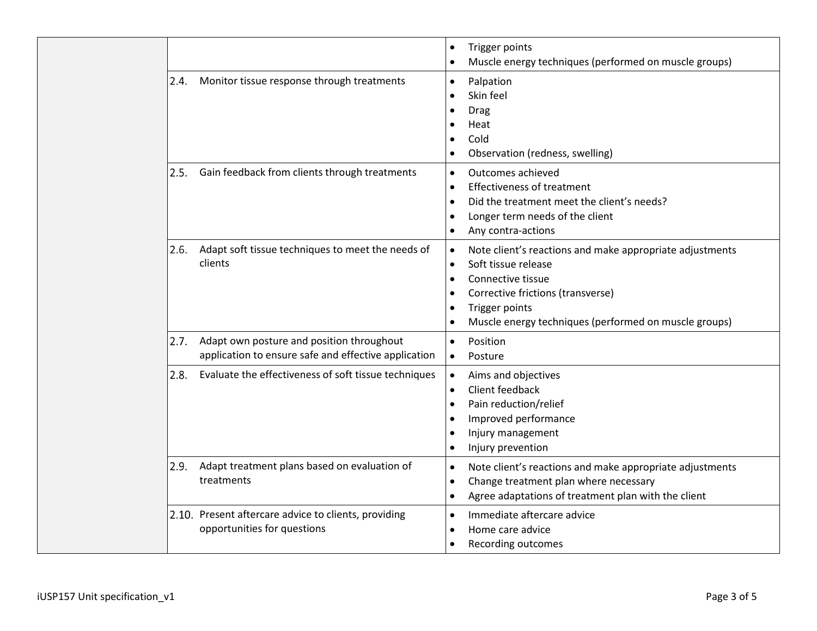|      |                                                                                                   | Trigger points<br>$\bullet$<br>Muscle energy techniques (performed on muscle groups)<br>$\bullet$                                                                                                                                                                                                  |
|------|---------------------------------------------------------------------------------------------------|----------------------------------------------------------------------------------------------------------------------------------------------------------------------------------------------------------------------------------------------------------------------------------------------------|
| 2.4. | Monitor tissue response through treatments                                                        | Palpation<br>$\bullet$<br>Skin feel<br>$\bullet$<br><b>Drag</b><br>$\bullet$<br>Heat<br>$\bullet$<br>Cold<br>$\bullet$<br>Observation (redness, swelling)                                                                                                                                          |
| 2.5. | Gain feedback from clients through treatments                                                     | Outcomes achieved<br>$\bullet$<br><b>Effectiveness of treatment</b><br>$\bullet$<br>Did the treatment meet the client's needs?<br>$\bullet$<br>Longer term needs of the client<br>$\bullet$<br>Any contra-actions<br>$\bullet$                                                                     |
| 2.6. | Adapt soft tissue techniques to meet the needs of<br>clients                                      | Note client's reactions and make appropriate adjustments<br>$\bullet$<br>Soft tissue release<br>$\bullet$<br>Connective tissue<br>$\bullet$<br>Corrective frictions (transverse)<br>$\bullet$<br>Trigger points<br>$\bullet$<br>Muscle energy techniques (performed on muscle groups)<br>$\bullet$ |
| 2.7. | Adapt own posture and position throughout<br>application to ensure safe and effective application | Position<br>$\bullet$<br>Posture<br>$\bullet$                                                                                                                                                                                                                                                      |
| 2.8. | Evaluate the effectiveness of soft tissue techniques                                              | Aims and objectives<br>$\bullet$<br>Client feedback<br>$\bullet$<br>Pain reduction/relief<br>$\bullet$<br>Improved performance<br>$\bullet$<br>Injury management<br>$\bullet$<br>Injury prevention<br>$\bullet$                                                                                    |
| 2.9. | Adapt treatment plans based on evaluation of<br>treatments                                        | Note client's reactions and make appropriate adjustments<br>$\bullet$<br>Change treatment plan where necessary<br>$\bullet$<br>Agree adaptations of treatment plan with the client<br>$\bullet$                                                                                                    |
|      | 2.10. Present aftercare advice to clients, providing<br>opportunities for questions               | Immediate aftercare advice<br>$\bullet$<br>Home care advice<br>$\bullet$<br><b>Recording outcomes</b><br>$\bullet$                                                                                                                                                                                 |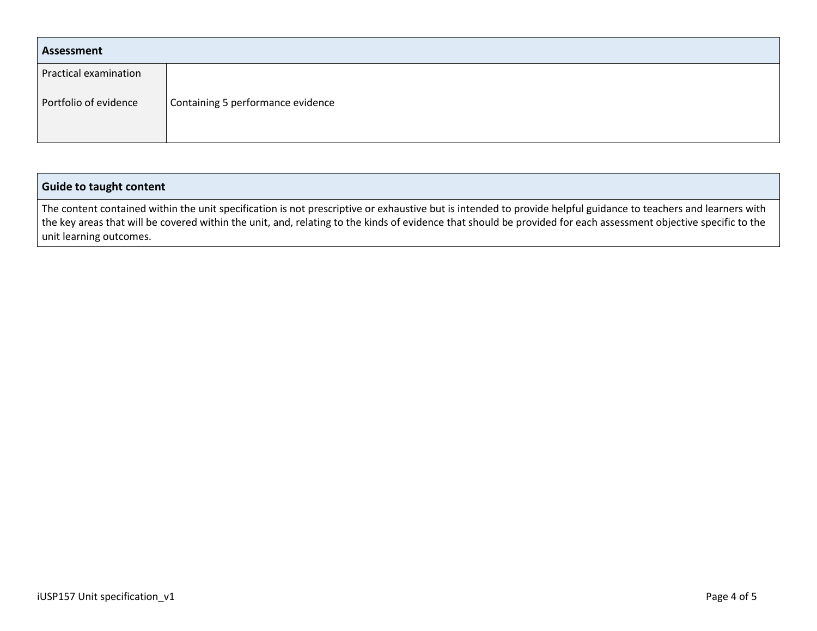| Assessment            |                                   |  |  |  |
|-----------------------|-----------------------------------|--|--|--|
| Practical examination |                                   |  |  |  |
| Portfolio of evidence | Containing 5 performance evidence |  |  |  |
|                       |                                   |  |  |  |

| Guide to taught content                                                                                                                                                                     |
|---------------------------------------------------------------------------------------------------------------------------------------------------------------------------------------------|
| The content contained within the unit specification is not prescriptive or exhaustive but is intended to provide helpful guidance to teachers and learners with                             |
| the key areas that will be covered within the unit, and, relating to the kinds of evidence that should be provided for each assessment objective specific to the<br>unit learning outcomes. |